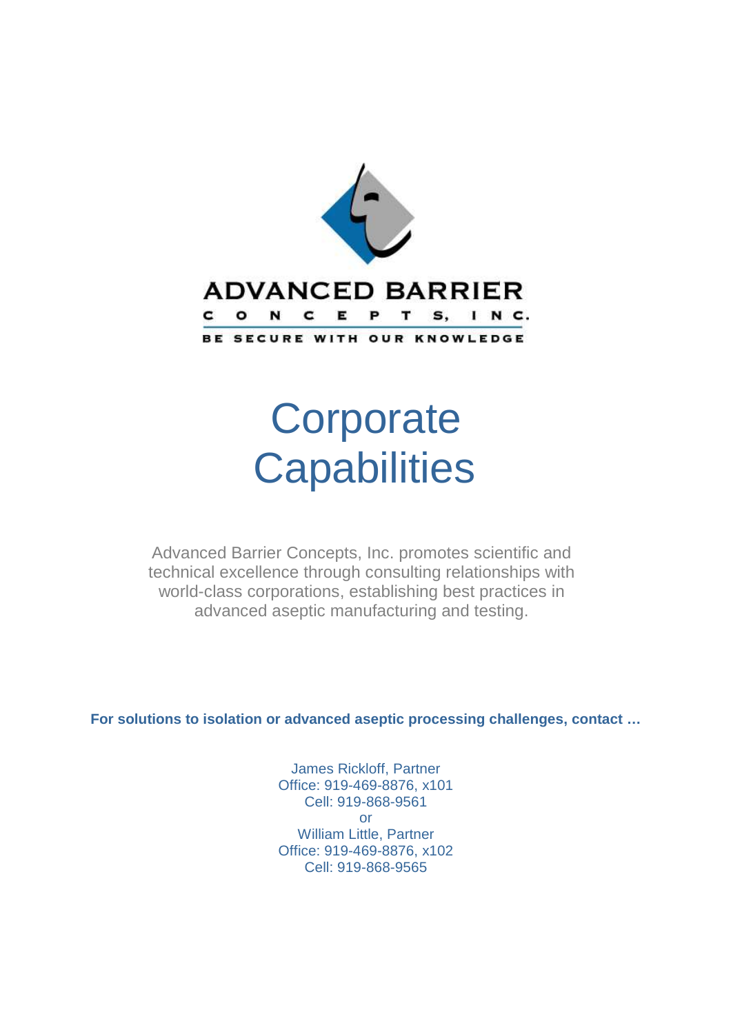

# **Corporate Capabilities**

Advanced Barrier Concepts, Inc. promotes scientific and technical excellence through consulting relationships with world-class corporations, establishing best practices in advanced aseptic manufacturing and testing.

**For solutions to isolation or advanced aseptic processing challenges, contact …** 

James Rickloff, Partner Office: 919-469-8876, x101 Cell: 919-868-9561 or William Little, Partner Office: 919-469-8876, x102 Cell: 919-868-9565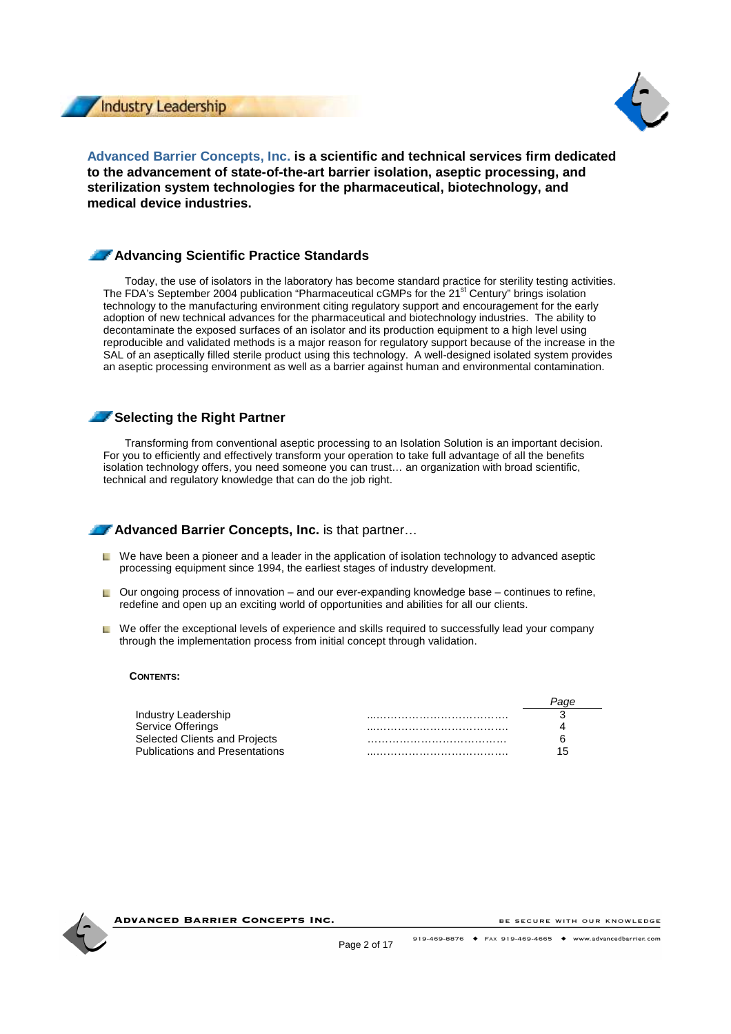



**Advanced Barrier Concepts, Inc. is a scientific and technical services firm dedicated to the advancement of state-of-the-art barrier isolation, aseptic processing, and sterilization system technologies for the pharmaceutical, biotechnology, and medical device industries.** 

# **Advancing Scientific Practice Standards**

Today, the use of isolators in the laboratory has become standard practice for sterility testing activities. The FDA's September 2004 publication "Pharmaceutical cGMPs for the 21<sup>st</sup> Century" brings isolation technology to the manufacturing environment citing regulatory support and encouragement for the early adoption of new technical advances for the pharmaceutical and biotechnology industries. The ability to decontaminate the exposed surfaces of an isolator and its production equipment to a high level using reproducible and validated methods is a major reason for regulatory support because of the increase in the SAL of an aseptically filled sterile product using this technology. A well-designed isolated system provides an aseptic processing environment as well as a barrier against human and environmental contamination.

# **Selecting the Right Partner**

Transforming from conventional aseptic processing to an Isolation Solution is an important decision. For you to efficiently and effectively transform your operation to take full advantage of all the benefits isolation technology offers, you need someone you can trust… an organization with broad scientific, technical and regulatory knowledge that can do the job right.

**Advanced Barrier Concepts, Inc.** is that partner…

- $\Box$  We have been a pioneer and a leader in the application of isolation technology to advanced aseptic processing equipment since 1994, the earliest stages of industry development.
- $\Box$  Our ongoing process of innovation and our ever-expanding knowledge base continues to refine, redefine and open up an exciting world of opportunities and abilities for all our clients.
- $\Box$  We offer the exceptional levels of experience and skills required to successfully lead your company through the implementation process from initial concept through validation.

### **CONTENTS:**

| Industry Leadership                   |     |
|---------------------------------------|-----|
| Service Offerings                     |     |
| Selected Clients and Projects         |     |
| <b>Publications and Presentations</b> | 15. |



ADVANCED BARRIER CONCEPTS INC.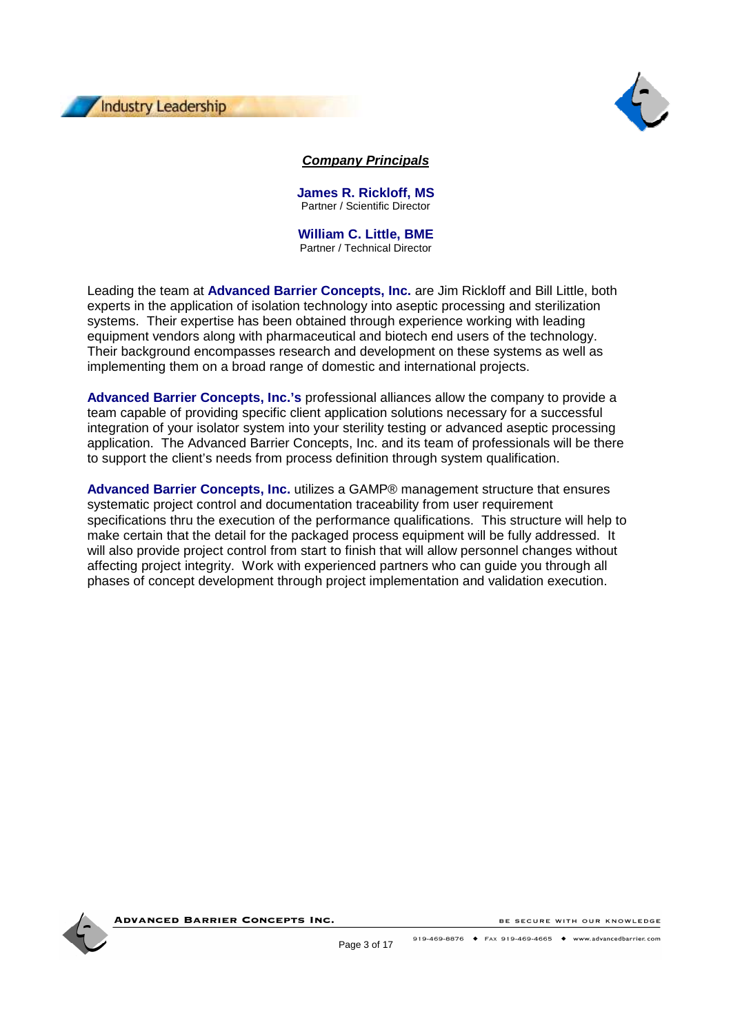



# **Company Principals**

**James R. Rickloff, MS**  Partner / Scientific Director

**William C. Little, BME**  Partner / Technical Director

Leading the team at **Advanced Barrier Concepts, Inc.** are Jim Rickloff and Bill Little, both experts in the application of isolation technology into aseptic processing and sterilization systems. Their expertise has been obtained through experience working with leading equipment vendors along with pharmaceutical and biotech end users of the technology. Their background encompasses research and development on these systems as well as implementing them on a broad range of domestic and international projects.

**Advanced Barrier Concepts, Inc.'s** professional alliances allow the company to provide a team capable of providing specific client application solutions necessary for a successful integration of your isolator system into your sterility testing or advanced aseptic processing application. The Advanced Barrier Concepts, Inc. and its team of professionals will be there to support the client's needs from process definition through system qualification.

**Advanced Barrier Concepts, Inc.** utilizes a GAMP® management structure that ensures systematic project control and documentation traceability from user requirement specifications thru the execution of the performance qualifications. This structure will help to make certain that the detail for the packaged process equipment will be fully addressed. It will also provide project control from start to finish that will allow personnel changes without affecting project integrity. Work with experienced partners who can guide you through all phases of concept development through project implementation and validation execution.



**ADVANCED BARRIER CONCEPTS INC.**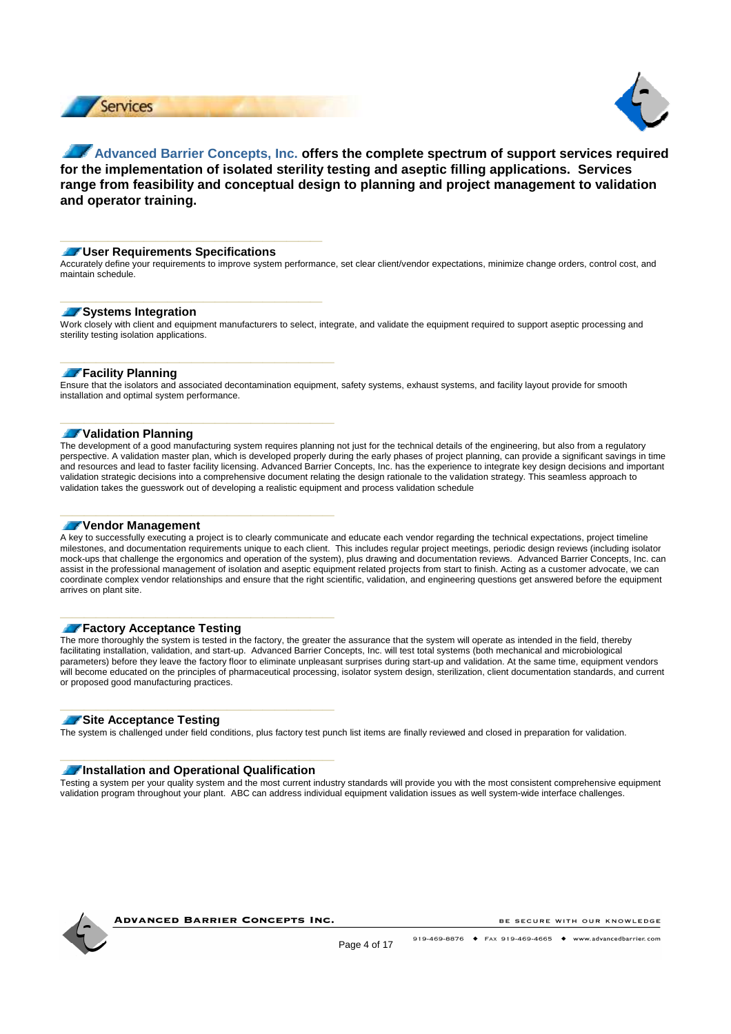



# **Advanced Barrier Concepts, Inc. offers the complete spectrum of support services required for the implementation of isolated sterility testing and aseptic filling applications. Services range from feasibility and conceptual design to planning and project management to validation and operator training.**

### **User Requirements Specifications**

**\_\_\_\_\_\_\_\_\_\_\_\_\_\_\_\_\_\_\_\_\_\_** 

**\_\_\_\_\_\_\_\_\_\_\_\_\_\_\_\_\_\_\_\_\_\_** 

**\_\_\_\_\_\_\_\_\_\_\_\_\_\_\_\_\_\_\_\_\_\_\_** 

**\_\_\_\_\_\_\_\_\_\_\_\_\_\_\_\_\_\_\_\_\_\_\_** 

**\_\_\_\_\_\_\_\_\_\_\_\_\_\_\_\_\_\_\_\_\_\_\_** 

**\_\_\_\_\_\_\_\_\_\_\_\_\_\_\_\_\_\_\_\_\_\_\_** 

**\_\_\_\_\_\_\_\_\_\_\_\_\_\_\_\_\_\_\_\_\_\_\_** 

**\_\_\_\_\_\_\_\_\_\_\_\_\_\_\_\_\_\_\_\_\_\_\_** 

Accurately define your requirements to improve system performance, set clear client/vendor expectations, minimize change orders, control cost, and maintain schedule.

### **Systems Integration**

Work closely with client and equipment manufacturers to select, integrate, and validate the equipment required to support aseptic processing and sterility testing isolation applications.

### **Facility Planning**

Ensure that the isolators and associated decontamination equipment, safety systems, exhaust systems, and facility layout provide for smooth installation and optimal system performance.

### **Validation Planning**

The development of a good manufacturing system requires planning not just for the technical details of the engineering, but also from a regulatory perspective. A validation master plan, which is developed properly during the early phases of project planning, can provide a significant savings in time and resources and lead to faster facility licensing. Advanced Barrier Concepts, Inc. has the experience to integrate key design decisions and important validation strategic decisions into a comprehensive document relating the design rationale to the validation strategy. This seamless approach to validation takes the guesswork out of developing a realistic equipment and process validation schedule

### **Vendor Management**

A key to successfully executing a project is to clearly communicate and educate each vendor regarding the technical expectations, project timeline milestones, and documentation requirements unique to each client. This includes regular project meetings, periodic design reviews (including isolator mock-ups that challenge the ergonomics and operation of the system), plus drawing and documentation reviews. Advanced Barrier Concepts, Inc. can assist in the professional management of isolation and aseptic equipment related projects from start to finish. Acting as a customer advocate, we can coordinate complex vendor relationships and ensure that the right scientific, validation, and engineering questions get answered before the equipment arrives on plant site.

### **Factory Acceptance Testing**

The more thoroughly the system is tested in the factory, the greater the assurance that the system will operate as intended in the field, thereby facilitating installation, validation, and start-up. Advanced Barrier Concepts, Inc. will test total systems (both mechanical and microbiological parameters) before they leave the factory floor to eliminate unpleasant surprises during start-up and validation. At the same time, equipment vendors will become educated on the principles of pharmaceutical processing, isolator system design, sterilization, client documentation standards, and current or proposed good manufacturing practices.

### **Site Acceptance Testing**

The system is challenged under field conditions, plus factory test punch list items are finally reviewed and closed in preparation for validation.

### **Installation and Operational Qualification**

Testing a system per your quality system and the most current industry standards will provide you with the most consistent comprehensive equipment validation program throughout your plant. ABC can address individual equipment validation issues as well system-wide interface challenges.



**ADVANCED BARRIER CONCEPTS INC.**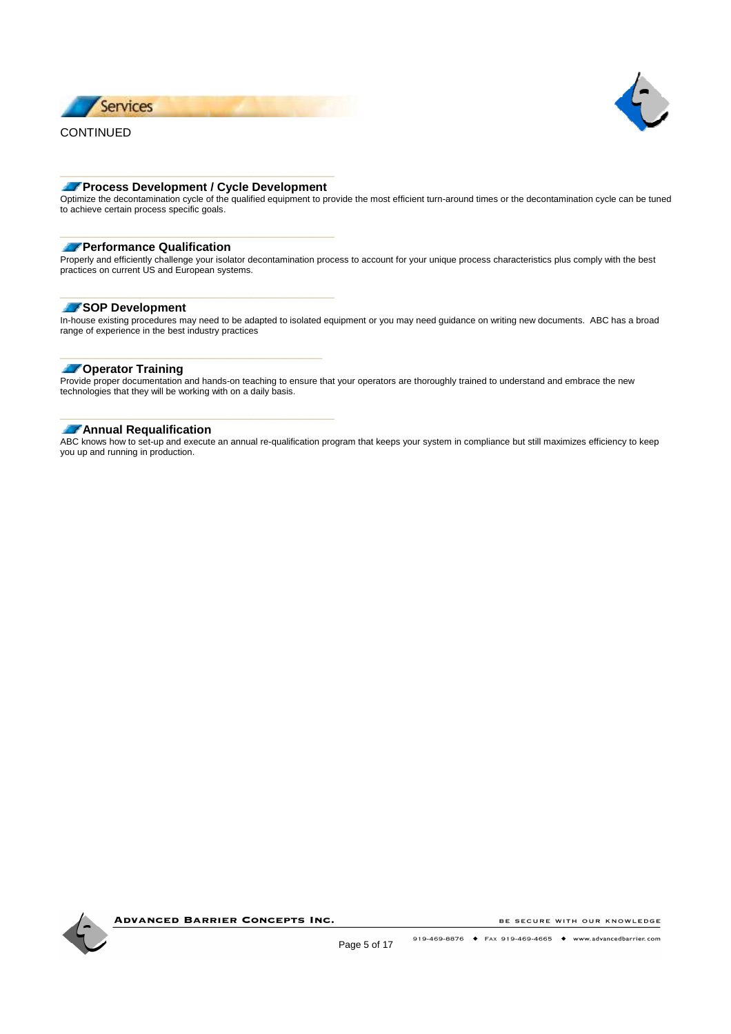



# **\_\_\_\_\_\_\_\_\_\_\_\_\_\_\_\_\_\_\_\_\_\_\_ Process Development / Cycle Development**

**\_\_\_\_\_\_\_\_\_\_\_\_\_\_\_\_\_\_\_\_\_\_\_** 

**\_\_\_\_\_\_\_\_\_\_\_\_\_\_\_\_\_\_\_\_\_\_\_** 

**\_\_\_\_\_\_\_\_\_\_\_\_\_\_\_\_\_\_\_\_\_\_** 

**\_\_\_\_\_\_\_\_\_\_\_\_\_\_\_\_\_\_\_\_\_\_\_** 

Optimize the decontamination cycle of the qualified equipment to provide the most efficient turn-around times or the decontamination cycle can be tuned to achieve certain process specific goals.

### **Performance Qualification**

Properly and efficiently challenge your isolator decontamination process to account for your unique process characteristics plus comply with the best practices on current US and European systems.

### **SOP Development**

In-house existing procedures may need to be adapted to isolated equipment or you may need guidance on writing new documents. ABC has a broad range of experience in the best industry practices

### **Operator Training**

Provide proper documentation and hands-on teaching to ensure that your operators are thoroughly trained to understand and embrace the new technologies that they will be working with on a daily basis.

### **Annual Requalification**

ABC knows how to set-up and execute an annual re-qualification program that keeps your system in compliance but still maximizes efficiency to keep you up and running in production.



**ADVANCED BARRIER CONCEPTS INC.**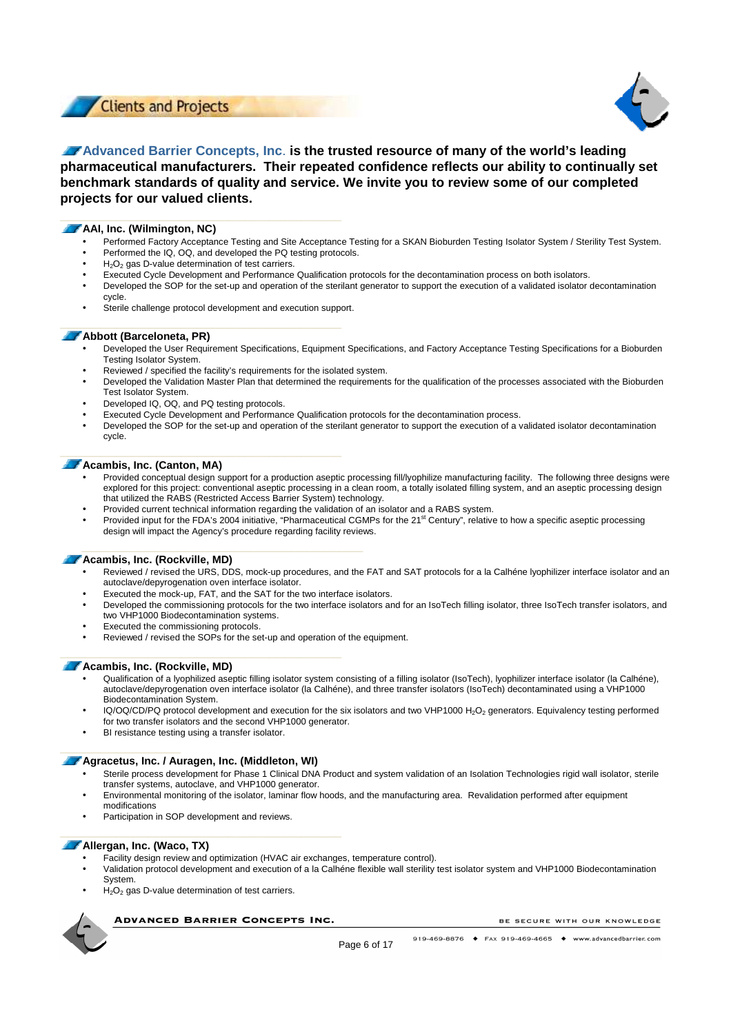



# **Advanced Barrier Concepts, Inc**. **is the trusted resource of many of the world's leading pharmaceutical manufacturers. Their repeated confidence reflects our ability to continually set benchmark standards of quality and service. We invite you to review some of our completed projects for our valued clients.**

### **AAI, Inc. (Wilmington, NC)**

- Performed Factory Acceptance Testing and Site Acceptance Testing for a SKAN Bioburden Testing Isolator System / Sterility Test System.
- Performed the IQ, OQ, and developed the PQ testing protocols.
- $H<sub>2</sub>O<sub>2</sub>$  gas D-value determination of test carriers.
- Executed Cycle Development and Performance Qualification protocols for the decontamination process on both isolators.
- Developed the SOP for the set-up and operation of the sterilant generator to support the execution of a validated isolator decontamination cycle.
- Sterile challenge protocol development and execution support.

### **Abbott (Barceloneta, PR)**

- Developed the User Requirement Specifications, Equipment Specifications, and Factory Acceptance Testing Specifications for a Bioburden Testing Isolator System.
- Reviewed / specified the facility's requirements for the isolated system.
- Developed the Validation Master Plan that determined the requirements for the qualification of the processes associated with the Bioburden Test Isolator System.
- Developed IQ, OQ, and PQ testing protocols.
- Executed Cycle Development and Performance Qualification protocols for the decontamination process.
- Developed the SOP for the set-up and operation of the sterilant generator to support the execution of a validated isolator decontamination cycle.

### **Acambis, Inc. (Canton, MA)**

- Provided conceptual design support for a production aseptic processing fill/lyophilize manufacturing facility. The following three designs were explored for this project: conventional aseptic processing in a clean room, a totally isolated filling system, and an aseptic processing design that utilized the RABS (Restricted Access Barrier System) technology.
- Provided current technical information regarding the validation of an isolator and a RABS system.
- Provided input for the FDA's 2004 initiative, "Pharmaceutical CGMPs for the  $21<sup>st</sup>$  Century", relative to how a specific aseptic processing design will impact the Agency's procedure regarding facility reviews.

### **Acambis, Inc. (Rockville, MD)**

- Reviewed / revised the URS, DDS, mock-up procedures, and the FAT and SAT protocols for a la Calhéne lyophilizer interface isolator and an autoclave/depyrogenation oven interface isolator.
- Executed the mock-up, FAT, and the SAT for the two interface isolators.
- Developed the commissioning protocols for the two interface isolators and for an IsoTech filling isolator, three IsoTech transfer isolators, and two VHP1000 Biodecontamination systems.
- Executed the commissioning protocols.
- Reviewed / revised the SOPs for the set-up and operation of the equipment.

### **Acambis, Inc. (Rockville, MD)**

- Qualification of a lyophilized aseptic filling isolator system consisting of a filling isolator (IsoTech), lyophilizer interface isolator (la Calhéne), autoclave/depyrogenation oven interface isolator (la Calhéne), and three transfer isolators (IsoTech) decontaminated using a VHP1000 Biodecontamination System.
- IQ/OQ/CD/PQ protocol development and execution for the six isolators and two VHP1000 H<sub>2</sub>O<sub>2</sub> generators. Equivalency testing performed for two transfer isolators and the second VHP1000 generator.
- BI resistance testing using a transfer isolator.

### **Agracetus, Inc. / Auragen, Inc. (Middleton, WI)**

- Sterile process development for Phase 1 Clinical DNA Product and system validation of an Isolation Technologies rigid wall isolator, sterile transfer systems, autoclave, and VHP1000 generator.
- Environmental monitoring of the isolator, laminar flow hoods, and the manufacturing area. Revalidation performed after equipment modifications
- Participation in SOP development and reviews.

### **Allergan, Inc. (Waco, TX)**

**\_\_\_\_\_\_\_\_\_\_\_\_\_\_\_** 

- Facility design review and optimization (HVAC air exchanges, temperature control).
- Validation protocol development and execution of a la Calhéne flexible wall sterility test isolator system and VHP1000 Biodecontamination System.
- $H<sub>2</sub>O<sub>2</sub>$  gas D-value determination of test carriers.

**ADVANCED BARRIER CONCEPTS INC.**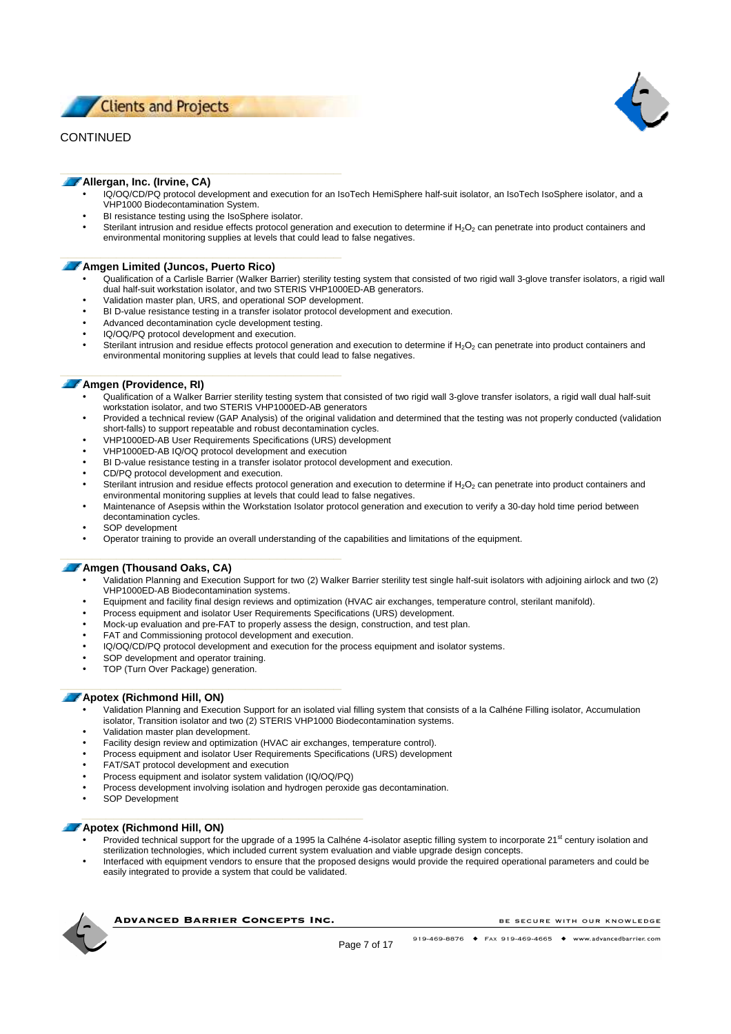**Clients and Projects** 

# CONTINUED



### **Allergan, Inc. (Irvine, CA)**

- IQ/OQ/CD/PQ protocol development and execution for an IsoTech HemiSphere half-suit isolator, an IsoTech IsoSphere isolator, and a VHP1000 Biodecontamination System.
- BI resistance testing using the IsoSphere isolator.
- Sterilant intrusion and residue effects protocol generation and execution to determine if  $H_2O_2$  can penetrate into product containers and environmental monitoring supplies at levels that could lead to false negatives.

### **Amgen Limited (Juncos, Puerto Rico)**

- Qualification of a Carlisle Barrier (Walker Barrier) sterility testing system that consisted of two rigid wall 3-glove transfer isolators, a rigid wall dual half-suit workstation isolator, and two STERIS VHP1000ED-AB generators.
- Validation master plan, URS, and operational SOP development.
- BI D-value resistance testing in a transfer isolator protocol development and execution.
- Advanced decontamination cycle development testing.
- IQ/OQ/PQ protocol development and execution.
- Sterilant intrusion and residue effects protocol generation and execution to determine if H<sub>2</sub>O<sub>2</sub> can penetrate into product containers and environmental monitoring supplies at levels that could lead to false negatives.

### **Amgen (Providence, RI)**

- Qualification of a Walker Barrier sterility testing system that consisted of two rigid wall 3-glove transfer isolators, a rigid wall dual half-suit workstation isolator, and two STERIS VHP1000ED-AB generators
- Provided a technical review (GAP Analysis) of the original validation and determined that the testing was not properly conducted (validation short-falls) to support repeatable and robust decontamination cycles.
- VHP1000ED-AB User Requirements Specifications (URS) development
- VHP1000ED-AB IQ/OQ protocol development and execution
- BI D-value resistance testing in a transfer isolator protocol development and execution.
- CD/PQ protocol development and execution.
- Sterilant intrusion and residue effects protocol generation and execution to determine if H<sub>2</sub>O<sub>2</sub> can penetrate into product containers and environmental monitoring supplies at levels that could lead to false negatives.
- Maintenance of Asepsis within the Workstation Isolator protocol generation and execution to verify a 30-day hold time period between decontamination cycles.
- SOP development
- Operator training to provide an overall understanding of the capabilities and limitations of the equipment.

### **Amgen (Thousand Oaks, CA)**

- Validation Planning and Execution Support for two (2) Walker Barrier sterility test single half-suit isolators with adjoining airlock and two (2) VHP1000ED-AB Biodecontamination systems.
- Equipment and facility final design reviews and optimization (HVAC air exchanges, temperature control, sterilant manifold).
- Process equipment and isolator User Requirements Specifications (URS) development.
- Mock-up evaluation and pre-FAT to properly assess the design, construction, and test plan.
- FAT and Commissioning protocol development and execution.
- IQ/OQ/CD/PQ protocol development and execution for the process equipment and isolator systems.
- SOP development and operator training.
- TOP (Turn Over Package) generation.

### **Apotex (Richmond Hill, ON)**

- Validation Planning and Execution Support for an isolated vial filling system that consists of a la Calhéne Filling isolator, Accumulation isolator, Transition isolator and two (2) STERIS VHP1000 Biodecontamination systems.
- Validation master plan development.
- Facility design review and optimization (HVAC air exchanges, temperature control).
- Process equipment and isolator User Requirements Specifications (URS) development
- FAT/SAT protocol development and execution
- Process equipment and isolator system validation (IQ/OQ/PQ)
- Process development involving isolation and hydrogen peroxide gas decontamination.
- SOP Development

### **Apotex (Richmond Hill, ON)**

- Provided technical support for the upgrade of a 1995 la Calhéne 4-isolator aseptic filling system to incorporate 21<sup>st</sup> century isolation and sterilization technologies, which included current system evaluation and viable upgrade design concepts.
- Interfaced with equipment vendors to ensure that the proposed designs would provide the required operational parameters and could be easily integrated to provide a system that could be validated.



**ADVANCED BARRIER CONCEPTS INC.**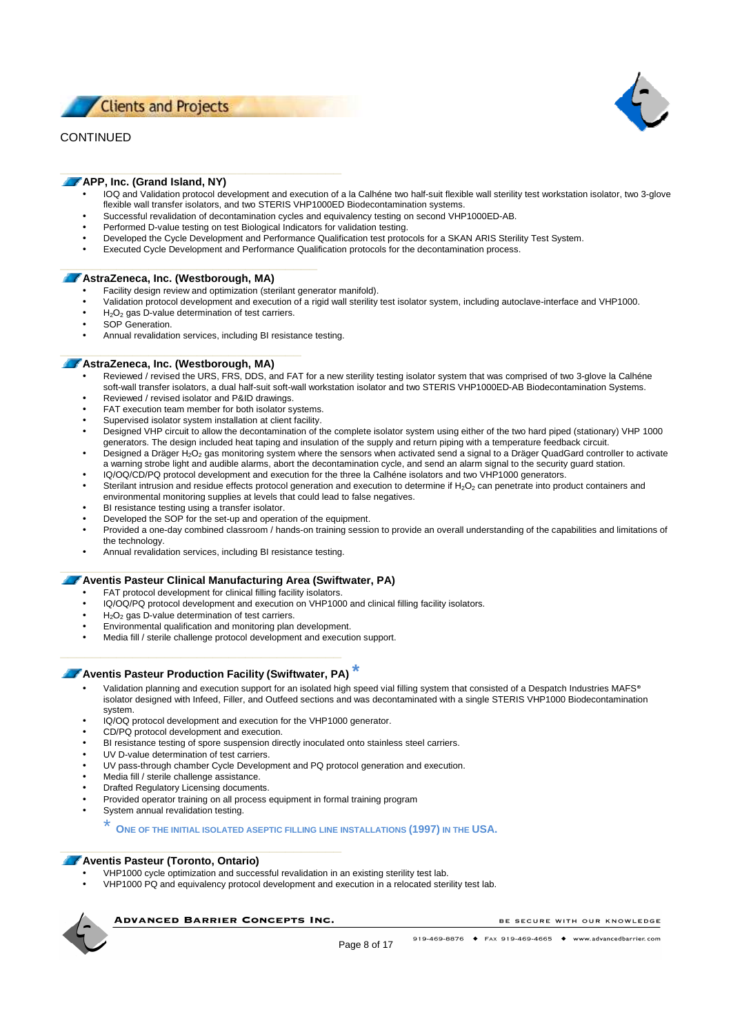**Clients and Projects** 

# CONTINUED



### **APP, Inc. (Grand Island, NY)**

- IOQ and Validation protocol development and execution of a la Calhéne two half-suit flexible wall sterility test workstation isolator, two 3-glove flexible wall transfer isolators, and two STERIS VHP1000ED Biodecontamination systems.
- Successful revalidation of decontamination cycles and equivalency testing on second VHP1000ED-AB.
- Performed D-value testing on test Biological Indicators for validation testing.
- Developed the Cycle Development and Performance Qualification test protocols for a SKAN ARIS Sterility Test System.
- Executed Cycle Development and Performance Qualification protocols for the decontamination process.

### **AstraZeneca, Inc. (Westborough, MA)**

- Facility design review and optimization (sterilant generator manifold).
- Validation protocol development and execution of a rigid wall sterility test isolator system, including autoclave-interface and VHP1000.
- $H<sub>2</sub>O<sub>2</sub>$  gas D-value determination of test carriers.
- SOP Generation.
- Annual revalidation services, including BI resistance testing.

### **AstraZeneca, Inc. (Westborough, MA)**

- Reviewed / revised the URS, FRS, DDS, and FAT for a new sterility testing isolator system that was comprised of two 3-glove la Calhéne soft-wall transfer isolators, a dual half-suit soft-wall workstation isolator and two STERIS VHP1000ED-AB Biodecontamination Systems.
- Reviewed / revised isolator and P&ID drawings.
- FAT execution team member for both isolator systems.
- Supervised isolator system installation at client facility.
- Designed VHP circuit to allow the decontamination of the complete isolator system using either of the two hard piped (stationary) VHP 1000 generators. The design included heat taping and insulation of the supply and return piping with a temperature feedback circuit.
- Designed a Dräger H<sub>2</sub>O<sub>2</sub> gas monitoring system where the sensors when activated send a signal to a Dräger QuadGard controller to activate a warning strobe light and audible alarms, abort the decontamination cycle, and send an alarm signal to the security guard station.
- IQ/OQ/CD/PQ protocol development and execution for the three la Calhéne isolators and two VHP1000 generators.
- Sterilant intrusion and residue effects protocol generation and execution to determine if  $H_2O_2$  can penetrate into product containers and environmental monitoring supplies at levels that could lead to false negatives.
- BI resistance testing using a transfer isolator.
- Developed the SOP for the set-up and operation of the equipment.
- Provided a one-day combined classroom / hands-on training session to provide an overall understanding of the capabilities and limitations of the technology.
- Annual revalidation services, including BI resistance testing.

### **Aventis Pasteur Clinical Manufacturing Area (Swiftwater, PA)**

- FAT protocol development for clinical filling facility isolators.
- IQ/OQ/PQ protocol development and execution on VHP1000 and clinical filling facility isolators.
- $H<sub>2</sub>O<sub>2</sub>$  gas D-value determination of test carriers.
- Environmental qualification and monitoring plan development.
- Media fill / sterile challenge protocol development and execution support.

### **Aventis Pasteur Production Facility (Swiftwater, PA) \***

- Validation planning and execution support for an isolated high speed vial filling system that consisted of a Despatch Industries MAFS® isolator designed with Infeed, Filler, and Outfeed sections and was decontaminated with a single STERIS VHP1000 Biodecontamination system.
- IQ/OQ protocol development and execution for the VHP1000 generator.
- CD/PQ protocol development and execution.
- BI resistance testing of spore suspension directly inoculated onto stainless steel carriers.
- UV D-value determination of test carriers.
- UV pass-through chamber Cycle Development and PQ protocol generation and execution.
- Media fill / sterile challenge assistance.
- Drafted Regulatory Licensing documents.
- Provided operator training on all process equipment in formal training program
- System annual revalidation testing.

### \* **<sup>O</sup>NE OF THE INITIAL ISOLATED ASEPTIC FILLING LINE INSTALLATIONS (1997) IN THE USA.**

### **Aventis Pasteur (Toronto, Ontario)**

- VHP1000 cycle optimization and successful revalidation in an existing sterility test lab.
- VHP1000 PQ and equivalency protocol development and execution in a relocated sterility test lab.

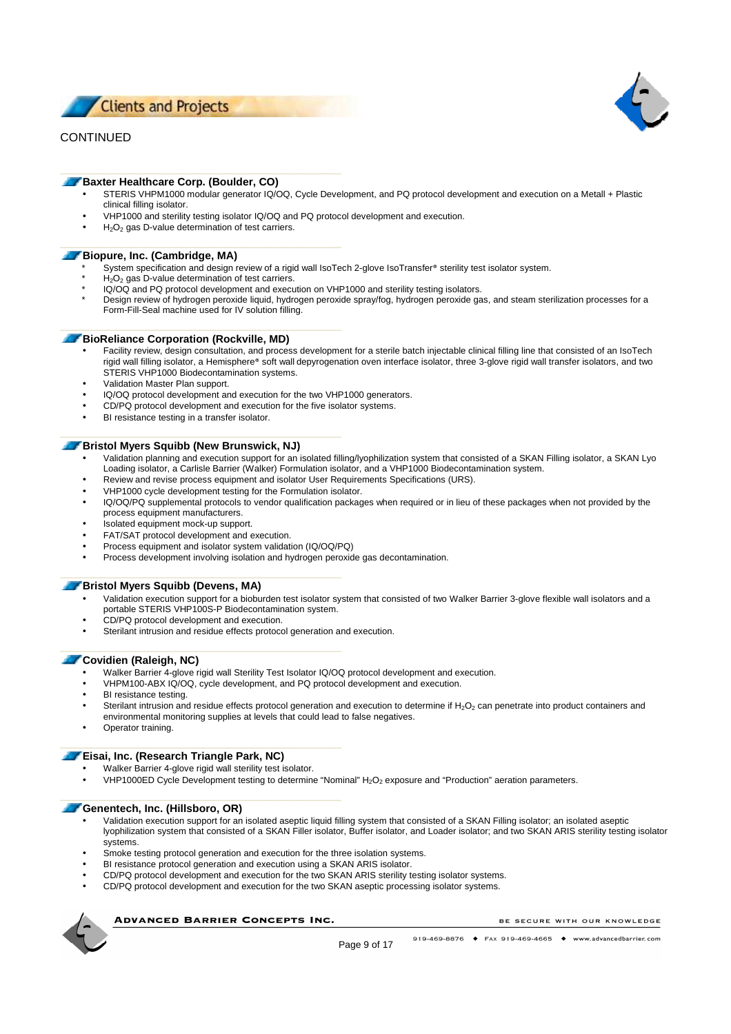



### **Baxter Healthcare Corp. (Boulder, CO)**

- STERIS VHPM1000 modular generator IQ/OQ, Cycle Development, and PQ protocol development and execution on a Metall + Plastic clinical filling isolator.
- VHP1000 and sterility testing isolator IQ/OQ and PQ protocol development and execution.
- $H_2O_2$  gas D-value determination of test carriers.

### **Biopure, Inc. (Cambridge, MA)**

- System specification and design review of a rigid wall IsoTech 2-glove IsoTransfer® sterility test isolator system.
- $H_2O_2$  gas D-value determination of test carriers.
- IQ/OQ and PQ protocol development and execution on VHP1000 and sterility testing isolators.
- Design review of hydrogen peroxide liquid, hydrogen peroxide spray/fog, hydrogen peroxide gas, and steam sterilization processes for a Form-Fill-Seal machine used for IV solution filling.

### **BioReliance Corporation (Rockville, MD)**

- Facility review, design consultation, and process development for a sterile batch injectable clinical filling line that consisted of an IsoTech rigid wall filling isolator, a Hemisphere® soft wall depyrogenation oven interface isolator, three 3-glove rigid wall transfer isolators, and two STERIS VHP1000 Biodecontamination systems.
- Validation Master Plan support.
- IQ/OQ protocol development and execution for the two VHP1000 generators.
- CD/PQ protocol development and execution for the five isolator systems.
- BI resistance testing in a transfer isolator.

### **Bristol Myers Squibb (New Brunswick, NJ)**

- Validation planning and execution support for an isolated filling/lyophilization system that consisted of a SKAN Filling isolator, a SKAN Lyo Loading isolator, a Carlisle Barrier (Walker) Formulation isolator, and a VHP1000 Biodecontamination system.
- Review and revise process equipment and isolator User Requirements Specifications (URS).
- VHP1000 cycle development testing for the Formulation isolator.
- IQ/OQ/PQ supplemental protocols to vendor qualification packages when required or in lieu of these packages when not provided by the process equipment manufacturers.
- Isolated equipment mock-up support.
- FAT/SAT protocol development and execution.
- Process equipment and isolator system validation (IQ/OQ/PQ)
- Process development involving isolation and hydrogen peroxide gas decontamination.

### **Bristol Myers Squibb (Devens, MA)**

- Validation execution support for a bioburden test isolator system that consisted of two Walker Barrier 3-glove flexible wall isolators and a portable STERIS VHP100S-P Biodecontamination system.
- CD/PQ protocol development and execution.
- Sterilant intrusion and residue effects protocol generation and execution.

### **Covidien (Raleigh, NC)**

- Walker Barrier 4-glove rigid wall Sterility Test Isolator IQ/OQ protocol development and execution.
- VHPM100-ABX IQ/OQ, cycle development, and PQ protocol development and execution.
- BI resistance testing.
- Sterilant intrusion and residue effects protocol generation and execution to determine if  $H_2O_2$  can penetrate into product containers and
- environmental monitoring supplies at levels that could lead to false negatives.
- Operator training.

### **Eisai, Inc. (Research Triangle Park, NC)**

- Walker Barrier 4-glove rigid wall sterility test isolator.
- VHP1000ED Cycle Development testing to determine "Nominal" H<sub>2</sub>O<sub>2</sub> exposure and "Production" aeration parameters.

### **Genentech, Inc. (Hillsboro, OR)**

- Validation execution support for an isolated aseptic liquid filling system that consisted of a SKAN Filling isolator; an isolated aseptic lyophilization system that consisted of a SKAN Filler isolator, Buffer isolator, and Loader isolator; and two SKAN ARIS sterility testing isolator systems.
- Smoke testing protocol generation and execution for the three isolation systems.
- BI resistance protocol generation and execution using a SKAN ARIS isolator.
- CD/PQ protocol development and execution for the two SKAN ARIS sterility testing isolator systems.
- CD/PQ protocol development and execution for the two SKAN aseptic processing isolator systems.



**ADVANCED BARRIER CONCEPTS INC.**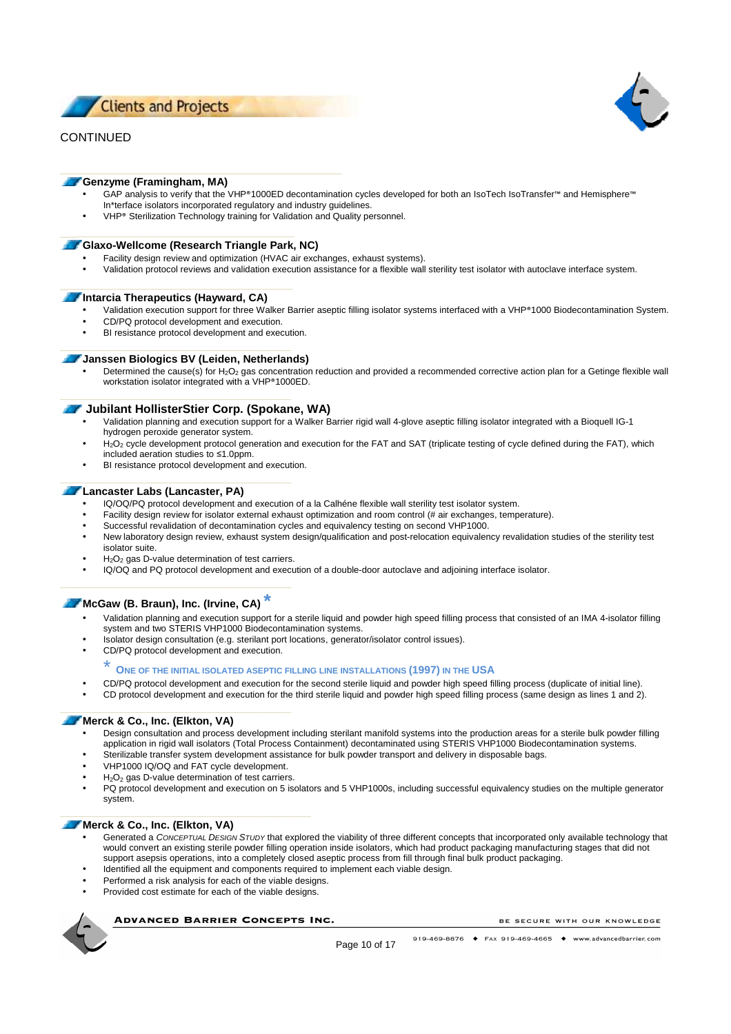



### **Genzyme (Framingham, MA)**

- GAP analysis to verify that the VHP®1000ED decontamination cycles developed for both an IsoTech IsoTransfer™ and Hemisphere™ In\*terface isolators incorporated regulatory and industry guidelines.
- VHP® Sterilization Technology training for Validation and Quality personnel.

### **Glaxo-Wellcome (Research Triangle Park, NC)**

- Facility design review and optimization (HVAC air exchanges, exhaust systems).
- Validation protocol reviews and validation execution assistance for a flexible wall sterility test isolator with autoclave interface system.

### **Intarcia Therapeutics (Hayward, CA)**

- Validation execution support for three Walker Barrier aseptic filling isolator systems interfaced with a VHP®1000 Biodecontamination System.
- CD/PQ protocol development and execution.
- BI resistance protocol development and execution.

### **Janssen Biologics BV (Leiden, Netherlands)**

Determined the cause(s) for H<sub>2</sub>O<sub>2</sub> gas concentration reduction and provided a recommended corrective action plan for a Getinge flexible wall workstation isolator integrated with a VHP®1000ED.

### **T** Jubilant HollisterStier Corp. (Spokane, WA)

- Validation planning and execution support for a Walker Barrier rigid wall 4-glove aseptic filling isolator integrated with a Bioquell IG-1 hydrogen peroxide generator system.
- H<sub>2</sub>O<sub>2</sub> cycle development protocol generation and execution for the FAT and SAT (triplicate testing of cycle defined during the FAT), which included aeration studies to ≤1.0ppm.
- BI resistance protocol development and execution.

### **Lancaster Labs (Lancaster, PA)**

- IQ/OQ/PQ protocol development and execution of a la Calhéne flexible wall sterility test isolator system.
- Facility design review for isolator external exhaust optimization and room control (# air exchanges, temperature).
- Successful revalidation of decontamination cycles and equivalency testing on second VHP1000.
- New laboratory design review, exhaust system design/qualification and post-relocation equivalency revalidation studies of the sterility test isolator suite.
- $H<sub>2</sub>O<sub>2</sub>$  gas D-value determination of test carriers.
- IQ/OQ and PQ protocol development and execution of a double-door autoclave and adjoining interface isolator.

# **McGaw (B. Braun), Inc. (Irvine, CA) \***

- Validation planning and execution support for a sterile liquid and powder high speed filling process that consisted of an IMA 4-isolator filling system and two STERIS VHP1000 Biodecontamination systems.
- Isolator design consultation (e.g. sterilant port locations, generator/isolator control issues).
- CD/PQ protocol development and execution.

### \* **<sup>O</sup>NE OF THE INITIAL ISOLATED ASEPTIC FILLING LINE INSTALLATIONS (1997) IN THE USA**

- CD/PQ protocol development and execution for the second sterile liquid and powder high speed filling process (duplicate of initial line).
- CD protocol development and execution for the third sterile liquid and powder high speed filling process (same design as lines 1 and 2).

### **Merck & Co., Inc. (Elkton, VA)**

- Design consultation and process development including sterilant manifold systems into the production areas for a sterile bulk powder filling application in rigid wall isolators (Total Process Containment) decontaminated using STERIS VHP1000 Biodecontamination systems.
- Sterilizable transfer system development assistance for bulk powder transport and delivery in disposable bags.
- VHP1000 IQ/OQ and FAT cycle development.
- $H_2O_2$  gas D-value determination of test carriers.
- PQ protocol development and execution on 5 isolators and 5 VHP1000s, including successful equivalency studies on the multiple generator system.

### **Merck & Co., Inc. (Elkton, VA)**

- Generated a CONCEPTUAL DESIGN STUDY that explored the viability of three different concepts that incorporated only available technology that would convert an existing sterile powder filling operation inside isolators, which had product packaging manufacturing stages that did not support asepsis operations, into a completely closed aseptic process from fill through final bulk product packaging.
- Identified all the equipment and components required to implement each viable design.
- Performed a risk analysis for each of the viable designs.
- Provided cost estimate for each of the viable designs.

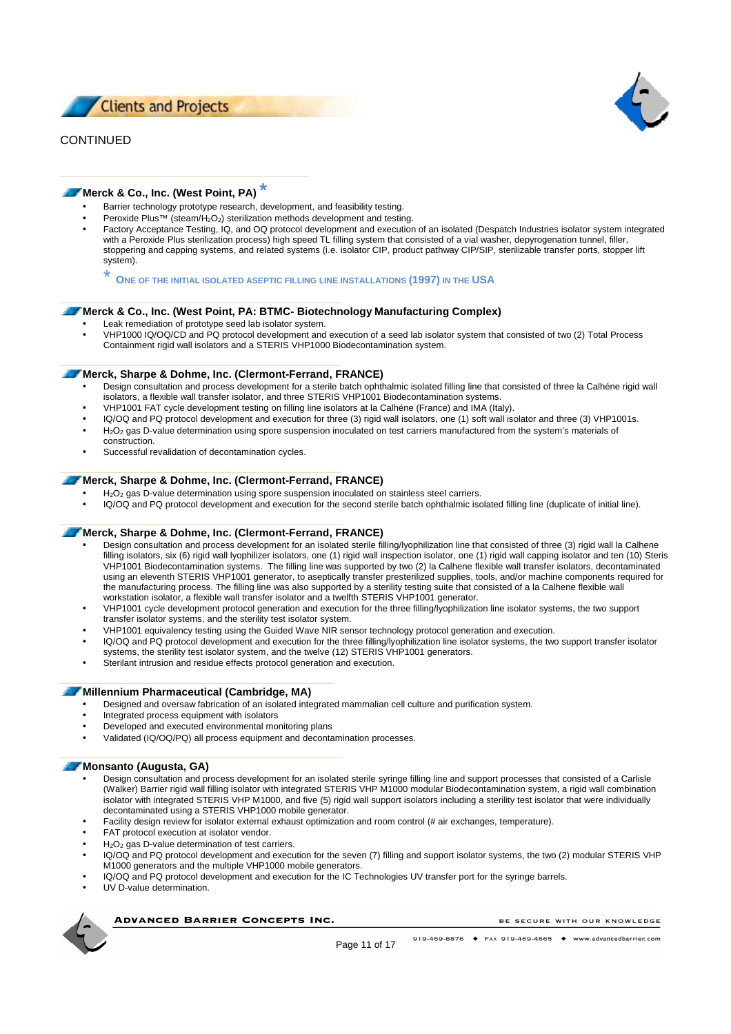



### **Merck & Co., Inc. (West Point, PA) \***

- Barrier technology prototype research, development, and feasibility testing.
- Peroxide Plus™ (steam/H2O2) sterilization methods development and testing.
- Factory Acceptance Testing, IQ, and OQ protocol development and execution of an isolated (Despatch Industries isolator system integrated with a Peroxide Plus sterilization process) high speed TL filling system that consisted of a vial washer, depyrogenation tunnel, filler, stoppering and capping systems, and related systems (i.e. isolator CIP, product pathway CIP/SIP, sterilizable transfer ports, stopper lift system).

\* **<sup>O</sup>NE OF THE INITIAL ISOLATED ASEPTIC FILLING LINE INSTALLATIONS (1997) IN THE USA**

### **Merck & Co., Inc. (West Point, PA: BTMC- Biotechnology Manufacturing Complex)**

- Leak remediation of prototype seed lab isolator system.
- VHP1000 IQ/OQ/CD and PQ protocol development and execution of a seed lab isolator system that consisted of two (2) Total Process Containment rigid wall isolators and a STERIS VHP1000 Biodecontamination system.

### **Merck, Sharpe & Dohme, Inc. (Clermont-Ferrand, FRANCE)**

- Design consultation and process development for a sterile batch ophthalmic isolated filling line that consisted of three la Calhéne rigid wall isolators, a flexible wall transfer isolator, and three STERIS VHP1001 Biodecontamination systems.
- VHP1001 FAT cycle development testing on filling line isolators at la Calhéne (France) and IMA (Italy).
- IQ/OQ and PQ protocol development and execution for three (3) rigid wall isolators, one (1) soft wall isolator and three (3) VHP1001s.
- H<sub>2</sub>O<sub>2</sub> gas D-value determination using spore suspension inoculated on test carriers manufactured from the system's materials of construction.
- Successful revalidation of decontamination cycles.

### **Merck, Sharpe & Dohme, Inc. (Clermont-Ferrand, FRANCE)**

- H<sub>2</sub>O<sub>2</sub> gas D-value determination using spore suspension inoculated on stainless steel carriers.
- IQ/OQ and PQ protocol development and execution for the second sterile batch ophthalmic isolated filling line (duplicate of initial line).

### **Merck, Sharpe & Dohme, Inc. (Clermont-Ferrand, FRANCE)**

- Design consultation and process development for an isolated sterile filling/lyophilization line that consisted of three (3) rigid wall la Calhene filling isolators, six (6) rigid wall lyophilizer isolators, one (1) rigid wall inspection isolator, one (1) rigid wall capping isolator and ten (10) Steris VHP1001 Biodecontamination systems. The filling line was supported by two (2) la Calhene flexible wall transfer isolators, decontaminated using an eleventh STERIS VHP1001 generator, to aseptically transfer presterilized supplies, tools, and/or machine components required for the manufacturing process. The filling line was also supported by a sterility testing suite that consisted of a la Calhene flexible wall workstation isolator, a flexible wall transfer isolator and a twelfth STERIS VHP1001 generator.
- VHP1001 cycle development protocol generation and execution for the three filling/lyophilization line isolator systems, the two support transfer isolator systems, and the sterility test isolator system.
- VHP1001 equivalency testing using the Guided Wave NIR sensor technology protocol generation and execution.
- IQ/OQ and PQ protocol development and execution for the three filling/lyophilization line isolator systems, the two support transfer isolator systems, the sterility test isolator system, and the twelve (12) STERIS VHP1001 generators.
- Sterilant intrusion and residue effects protocol generation and execution.

### **Millennium Pharmaceutical (Cambridge, MA)**

- Designed and oversaw fabrication of an isolated integrated mammalian cell culture and purification system.
- Integrated process equipment with isolators
- Developed and executed environmental monitoring plans
- Validated (IQ/OQ/PQ) all process equipment and decontamination processes.

### **Monsanto (Augusta, GA)**

- Design consultation and process development for an isolated sterile syringe filling line and support processes that consisted of a Carlisle (Walker) Barrier rigid wall filling isolator with integrated STERIS VHP M1000 modular Biodecontamination system, a rigid wall combination isolator with integrated STERIS VHP M1000, and five (5) rigid wall support isolators including a sterility test isolator that were individually decontaminated using a STERIS VHP1000 mobile generator.
- Facility design review for isolator external exhaust optimization and room control (# air exchanges, temperature).
- FAT protocol execution at isolator vendor.
- $H<sub>2</sub>O<sub>2</sub>$  gas D-value determination of test carriers.
- IQ/OQ and PQ protocol development and execution for the seven (7) filling and support isolator systems, the two (2) modular STERIS VHP M1000 generators and the multiple VHP1000 mobile generators.
- IQ/OQ and PQ protocol development and execution for the IC Technologies UV transfer port for the syringe barrels.
- UV D-value determination.



**ADVANCED BARRIER CONCEPTS INC.**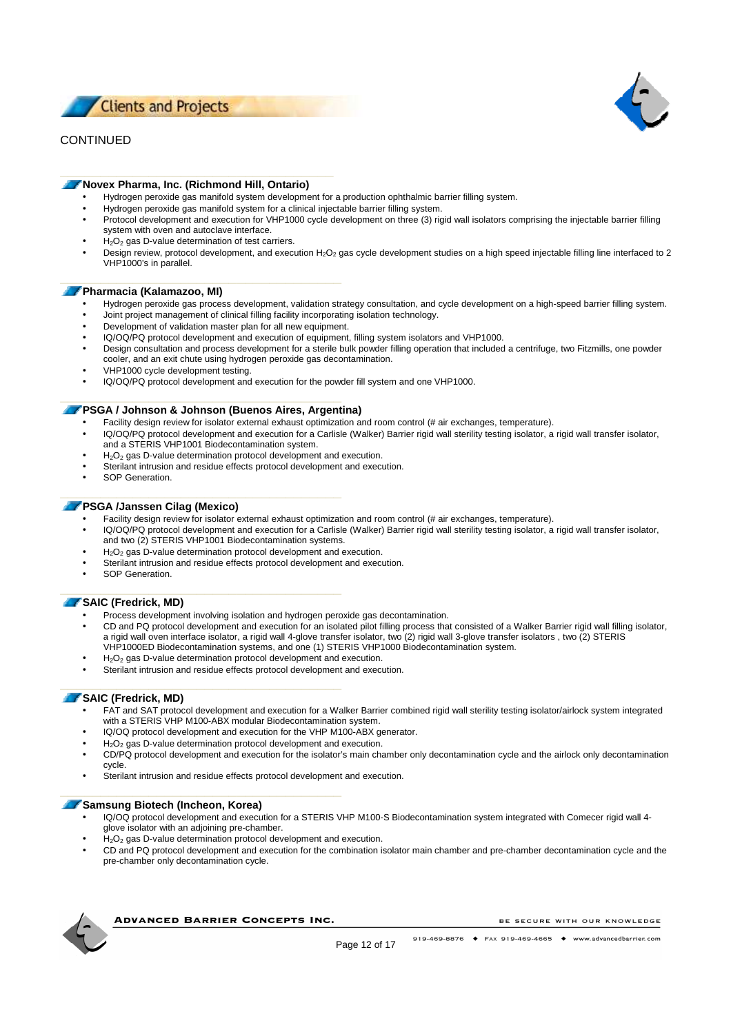



### **Novex Pharma, Inc. (Richmond Hill, Ontario)**

- Hydrogen peroxide gas manifold system development for a production ophthalmic barrier filling system.
- Hydrogen peroxide gas manifold system for a clinical injectable barrier filling system.
- Protocol development and execution for VHP1000 cycle development on three (3) rigid wall isolators comprising the injectable barrier filling system with oven and autoclave interface.
- $H<sub>2</sub>O<sub>2</sub>$  gas D-value determination of test carriers.
- Design review, protocol development, and execution H<sub>2</sub>O<sub>2</sub> gas cycle development studies on a high speed injectable filling line interfaced to 2 VHP1000's in parallel.

### **Pharmacia (Kalamazoo, MI)**

- Hydrogen peroxide gas process development, validation strategy consultation, and cycle development on a high-speed barrier filling system.
- Joint project management of clinical filling facility incorporating isolation technology.
- Development of validation master plan for all new equipment.
- IQ/OQ/PQ protocol development and execution of equipment, filling system isolators and VHP1000.
- Design consultation and process development for a sterile bulk powder filling operation that included a centrifuge, two Fitzmills, one powder cooler, and an exit chute using hydrogen peroxide gas decontamination.
- VHP1000 cycle development testing.
- IQ/OQ/PQ protocol development and execution for the powder fill system and one VHP1000.

### **PSGA / Johnson & Johnson (Buenos Aires, Argentina)**

- Facility design review for isolator external exhaust optimization and room control (# air exchanges, temperature).
- IQ/OQ/PQ protocol development and execution for a Carlisle (Walker) Barrier rigid wall sterility testing isolator, a rigid wall transfer isolator, and a STERIS VHP1001 Biodecontamination system.
- $H<sub>2</sub>O<sub>2</sub>$  gas D-value determination protocol development and execution.
- Sterilant intrusion and residue effects protocol development and execution.
- SOP Generation.

### **PSGA /Janssen Cilag (Mexico)**

- Facility design review for isolator external exhaust optimization and room control (# air exchanges, temperature).
- IQ/OQ/PQ protocol development and execution for a Carlisle (Walker) Barrier rigid wall sterility testing isolator, a rigid wall transfer isolator,
- and two (2) STERIS VHP1001 Biodecontamination systems.
- $H<sub>2</sub>O<sub>2</sub>$  gas D-value determination protocol development and execution.
- Sterilant intrusion and residue effects protocol development and execution.
- SOP Generation.

### **SAIC (Fredrick, MD)**

- Process development involving isolation and hydrogen peroxide gas decontamination.
- CD and PQ protocol development and execution for an isolated pilot filling process that consisted of a Walker Barrier rigid wall filling isolator, a rigid wall oven interface isolator, a rigid wall 4-glove transfer isolator, two (2) rigid wall 3-glove transfer isolators , two (2) STERIS VHP1000ED Biodecontamination systems, and one (1) STERIS VHP1000 Biodecontamination system.
- $H<sub>2</sub>O<sub>2</sub>$  gas D-value determination protocol development and execution.
- Sterilant intrusion and residue effects protocol development and execution.

### **SAIC (Fredrick, MD)**

- FAT and SAT protocol development and execution for a Walker Barrier combined rigid wall sterility testing isolator/airlock system integrated with a STERIS VHP M100-ABX modular Biodecontamination system.
- IQ/OQ protocol development and execution for the VHP M100-ABX generator.
- H<sub>2</sub>O<sub>2</sub> gas D-value determination protocol development and execution.
- CD/PQ protocol development and execution for the isolator's main chamber only decontamination cycle and the airlock only decontamination cycle.
- Sterilant intrusion and residue effects protocol development and execution.

### **Samsung Biotech (Incheon, Korea)**

- IQ/OQ protocol development and execution for a STERIS VHP M100-S Biodecontamination system integrated with Comecer rigid wall 4-
- glove isolator with an adjoining pre-chamber.
- H<sub>2</sub>O<sub>2</sub> gas D-value determination protocol development and execution.
- CD and PQ protocol development and execution for the combination isolator main chamber and pre-chamber decontamination cycle and the pre-chamber only decontamination cycle.



**ADVANCED BARRIER CONCEPTS INC.**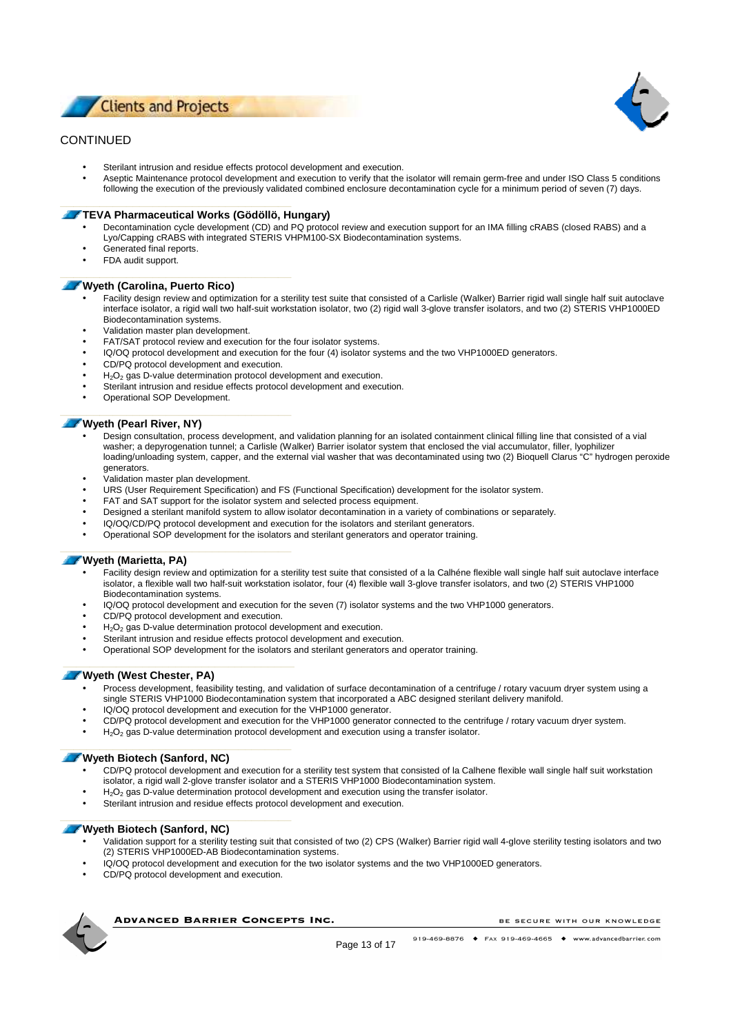

- Sterilant intrusion and residue effects protocol development and execution.
- Aseptic Maintenance protocol development and execution to verify that the isolator will remain germ-free and under ISO Class 5 conditions following the execution of the previously validated combined enclosure decontamination cycle for a minimum period of seven (7) days.

### **TEVA Pharmaceutical Works (Gödöllö, Hungary)**

- Decontamination cycle development (CD) and PQ protocol review and execution support for an IMA filling cRABS (closed RABS) and a Lyo/Capping cRABS with integrated STERIS VHPM100-SX Biodecontamination systems.
- 
- Generated final reports.
- FDA audit support.

#### **Wyeth (Carolina, Puerto Rico)**

- Facility design review and optimization for a sterility test suite that consisted of a Carlisle (Walker) Barrier rigid wall single half suit autoclave interface isolator, a rigid wall two half-suit workstation isolator, two (2) rigid wall 3-glove transfer isolators, and two (2) STERIS VHP1000ED Biodecontamination systems.
- Validation master plan development.
- FAT/SAT protocol review and execution for the four isolator systems.
- IQ/OQ protocol development and execution for the four (4) isolator systems and the two VHP1000ED generators.
- CD/PQ protocol development and execution.
- $H<sub>2</sub>O<sub>2</sub>$  gas D-value determination protocol development and execution.
- Sterilant intrusion and residue effects protocol development and execution.
- Operational SOP Development.

### **Wyeth (Pearl River, NY)**

- Design consultation, process development, and validation planning for an isolated containment clinical filling line that consisted of a vial washer; a depyrogenation tunnel; a Carlisle (Walker) Barrier isolator system that enclosed the vial accumulator, filler, lyophilizer loading/unloading system, capper, and the external vial washer that was decontaminated using two (2) Bioquell Clarus "C" hydrogen peroxide generators.
- Validation master plan development.
- URS (User Requirement Specification) and FS (Functional Specification) development for the isolator system.
- FAT and SAT support for the isolator system and selected process equipment.
- Designed a sterilant manifold system to allow isolator decontamination in a variety of combinations or separately.
- IQ/OQ/CD/PQ protocol development and execution for the isolators and sterilant generators.
- Operational SOP development for the isolators and sterilant generators and operator training.

#### **Wyeth (Marietta, PA)**

- Facility design review and optimization for a sterility test suite that consisted of a la Calhéne flexible wall single half suit autoclave interface isolator, a flexible wall two half-suit workstation isolator, four (4) flexible wall 3-glove transfer isolators, and two (2) STERIS VHP1000 Biodecontamination systems.
- IQ/OQ protocol development and execution for the seven (7) isolator systems and the two VHP1000 generators.
- CD/PQ protocol development and execution.
- $H<sub>2</sub>O<sub>2</sub>$  gas D-value determination protocol development and execution.
- Sterilant intrusion and residue effects protocol development and execution.
- Operational SOP development for the isolators and sterilant generators and operator training.

### **Wyeth (West Chester, PA)**

- Process development, feasibility testing, and validation of surface decontamination of a centrifuge / rotary vacuum dryer system using a single STERIS VHP1000 Biodecontamination system that incorporated a ABC designed sterilant delivery manifold.
- IQ/OQ protocol development and execution for the VHP1000 generator.
- CD/PQ protocol development and execution for the VHP1000 generator connected to the centrifuge / rotary vacuum dryer system.
- $H_2O_2$  gas D-value determination protocol development and execution using a transfer isolator.

### **Wyeth Biotech (Sanford, NC)**

- CD/PQ protocol development and execution for a sterility test system that consisted of la Calhene flexible wall single half suit workstation isolator, a rigid wall 2-glove transfer isolator and a STERIS VHP1000 Biodecontamination system.
- H<sub>2</sub>O<sub>2</sub> gas D-value determination protocol development and execution using the transfer isolator.
- Sterilant intrusion and residue effects protocol development and execution.

### **Wyeth Biotech (Sanford, NC)**

- Validation support for a sterility testing suit that consisted of two (2) CPS (Walker) Barrier rigid wall 4-glove sterility testing isolators and two (2) STERIS VHP1000ED-AB Biodecontamination systems.
- IQ/OQ protocol development and execution for the two isolator systems and the two VHP1000ED generators.
- CD/PQ protocol development and execution.



**ADVANCED BARRIER CONCEPTS INC.** 

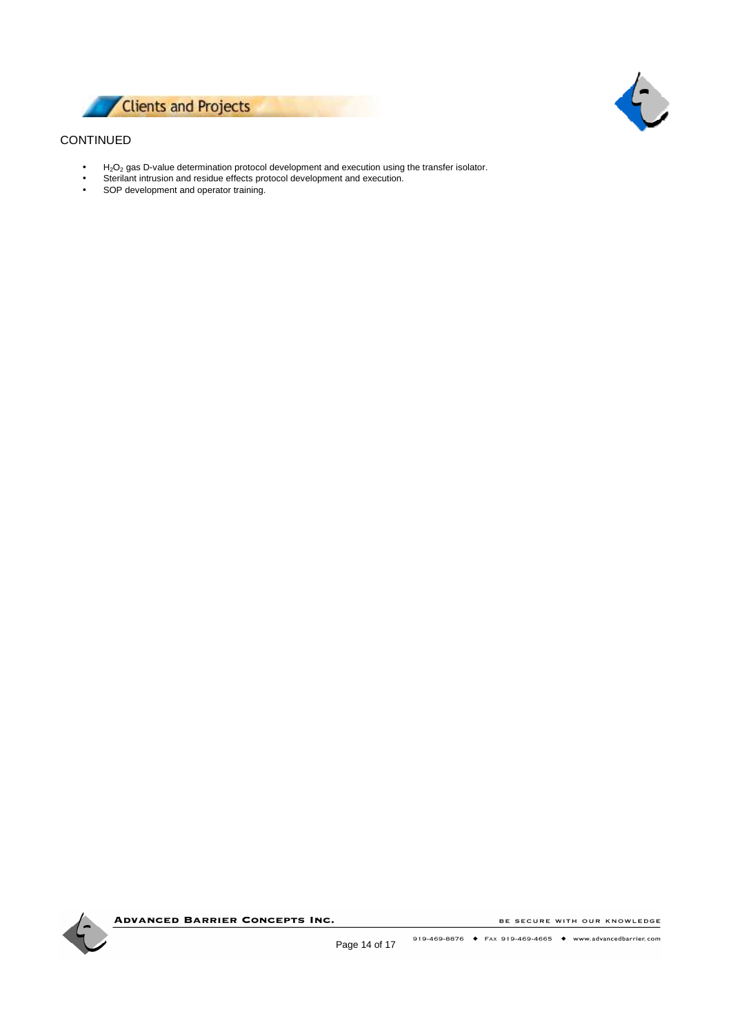



- H2O2 gas D-value determination protocol development and execution using the transfer isolator.
- Sterilant intrusion and residue effects protocol development and execution.
- SOP development and operator training.

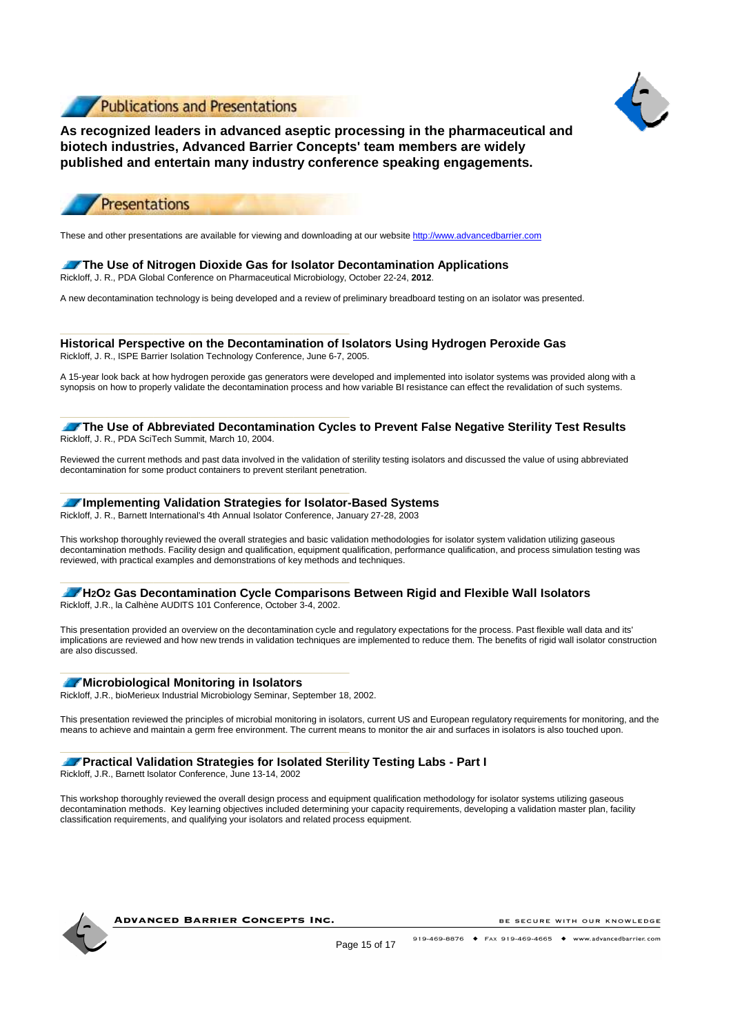

**\_\_\_\_\_\_\_\_\_\_\_\_\_\_\_\_\_\_\_\_\_\_\_\_\_\_\_\_\_\_\_**



**As recognized leaders in advanced aseptic processing in the pharmaceutical and biotech industries, Advanced Barrier Concepts' team members are widely published and entertain many industry conference speaking engagements.** 



These and other presentations are available for viewing and downloading at our website http://www.advancedbarrier.com

### **The Use of Nitrogen Dioxide Gas for Isolator Decontamination Applications** Rickloff, J. R., PDA Global Conference on Pharmaceutical Microbiology, October 22-24, **2012**.

A new decontamination technology is being developed and a review of preliminary breadboard testing on an isolator was presented.

**Historical Perspective on the Decontamination of Isolators Using Hydrogen Peroxide Gas** Rickloff, J. R., ISPE Barrier Isolation Technology Conference, June 6-7, 2005.

A 15-year look back at how hydrogen peroxide gas generators were developed and implemented into isolator systems was provided along with a synopsis on how to properly validate the decontamination process and how variable BI resistance can effect the revalidation of such systems.

**The Use of Abbreviated Decontamination Cycles to Prevent False Negative Sterility Test Results** Rickloff, J. R., PDA SciTech Summit, March 10, 2004.

Reviewed the current methods and past data involved in the validation of sterility testing isolators and discussed the value of using abbreviated decontamination for some product containers to prevent sterilant penetration.

### **Implementing Validation Strategies for Isolator-Based Systems**

Rickloff, J. R., Barnett International's 4th Annual Isolator Conference, January 27-28, 2003

This workshop thoroughly reviewed the overall strategies and basic validation methodologies for isolator system validation utilizing gaseous decontamination methods. Facility design and qualification, equipment qualification, performance qualification, and process simulation testing was reviewed, with practical examples and demonstrations of key methods and techniques.

# **H202** Gas Decontamination Cycle Comparisons Between Rigid and Flexible Wall Isolators

Rickloff, J.R., la Calhène AUDITS 101 Conference, October 3-4, 2002.

**\_\_\_\_\_\_\_\_\_\_\_\_\_\_\_\_\_\_\_\_\_\_\_\_\_\_\_\_\_\_\_**

This presentation provided an overview on the decontamination cycle and regulatory expectations for the process. Past flexible wall data and its' implications are reviewed and how new trends in validation techniques are implemented to reduce them. The benefits of rigid wall isolator construction are also discussed.

### **Microbiological Monitoring in Isolators**

Rickloff, J.R., bioMerieux Industrial Microbiology Seminar, September 18, 2002.

**\_\_\_\_\_\_\_\_\_\_\_\_\_\_\_\_\_\_\_\_\_\_\_\_\_\_\_\_\_\_\_**

This presentation reviewed the principles of microbial monitoring in isolators, current US and European regulatory requirements for monitoring, and the means to achieve and maintain a germ free environment. The current means to monitor the air and surfaces in isolators is also touched upon.

### **Practical Validation Strategies for Isolated Sterility Testing Labs - Part I**

Rickloff, J.R., Barnett Isolator Conference, June 13-14, 2002

This workshop thoroughly reviewed the overall design process and equipment qualification methodology for isolator systems utilizing gaseous decontamination methods. Key learning objectives included determining your capacity requirements, developing a validation master plan, facility classification requirements, and qualifying your isolators and related process equipment.



**ADVANCED BARRIER CONCEPTS INC.**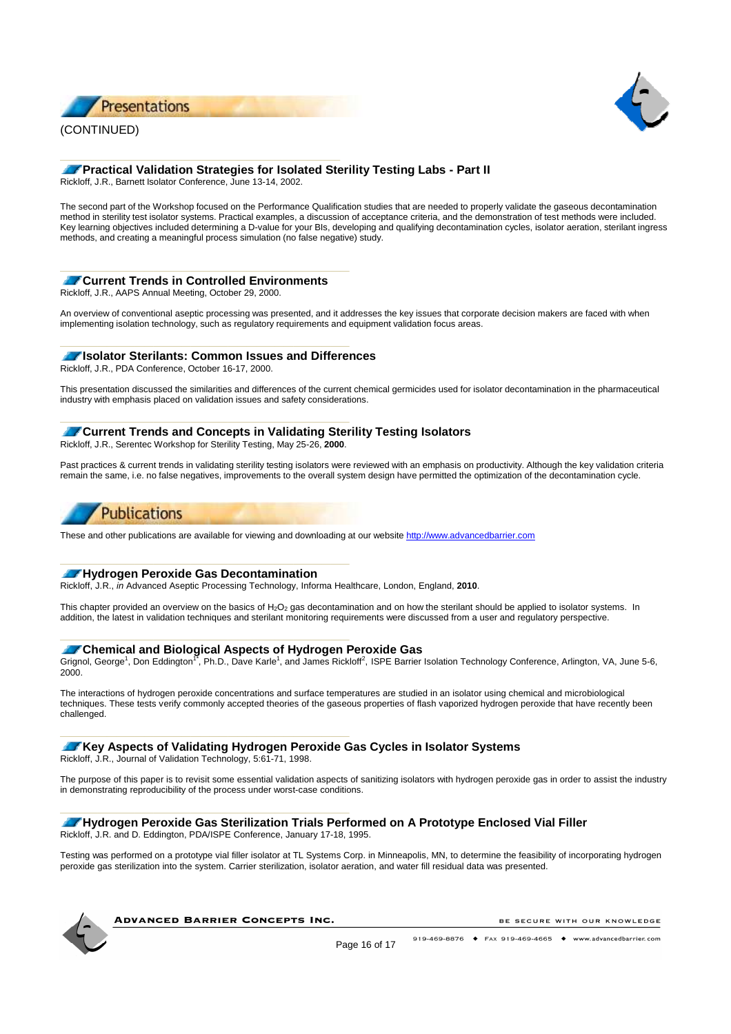





# **Practical Validation Strategies for Isolated Sterility Testing Labs - Part II**

Rickloff, J.R., Barnett Isolator Conference, June 13-14, 2002.

**\_\_\_\_\_\_\_\_\_\_\_\_\_\_\_\_\_\_\_\_\_\_\_\_\_\_\_\_\_\_**

The second part of the Workshop focused on the Performance Qualification studies that are needed to properly validate the gaseous decontamination method in sterility test isolator systems. Practical examples, a discussion of acceptance criteria, and the demonstration of test methods were included. Key learning objectives included determining a D-value for your BIs, developing and qualifying decontamination cycles, isolator aeration, sterilant ingress methods, and creating a meaningful process simulation (no false negative) study.

### **Current Trends in Controlled Environments**

Rickloff, J.R., AAPS Annual Meeting, October 29, 2000.

An overview of conventional aseptic processing was presented, and it addresses the key issues that corporate decision makers are faced with when implementing isolation technology, such as regulatory requirements and equipment validation focus areas.

### **Isolator Sterilants: Common Issues and Differences**

Rickloff, J.R., PDA Conference, October 16-17, 2000.

This presentation discussed the similarities and differences of the current chemical germicides used for isolator decontamination in the pharmaceutical industry with emphasis placed on validation issues and safety considerations.

# **Current Trends and Concepts in Validating Sterility Testing Isolators**

Rickloff, J.R., Serentec Workshop for Sterility Testing, May 25-26, **2000**.

**\_\_\_\_\_\_\_\_\_\_\_\_\_\_\_\_\_\_\_\_\_\_\_\_\_\_\_\_\_\_\_**

Past practices & current trends in validating sterility testing isolators were reviewed with an emphasis on productivity. Although the key validation criteria remain the same, i.e. no false negatives, improvements to the overall system design have permitted the optimization of the decontamination cycle.

# **Publications**

These and other publications are available for viewing and downloading at our website http://www.advancedbarrier.com

### **Hydrogen Peroxide Gas Decontamination**

**\_\_\_\_\_\_\_\_\_\_\_\_\_\_\_\_\_\_\_\_\_\_\_\_\_\_\_\_\_\_\_**

Rickloff, J.R., in Advanced Aseptic Processing Technology, Informa Healthcare, London, England, **2010**.

This chapter provided an overview on the basics of H<sub>2</sub>O<sub>2</sub> gas decontamination and on how the sterilant should be applied to isolator systems. In addition, the latest in validation techniques and sterilant monitoring requirements were discussed from a user and regulatory perspective.

### **Chemical and Biological Aspects of Hydrogen Peroxide Gas**

Grignol, George<sup>1</sup>, Don Eddington<sup>17</sup>, Ph.D., Dave Karle<sup>1</sup>, and James Rickloff<sup>2</sup>, ISPE Barrier Isolation Technology Conference, Arlington, VA, June 5-6,  $2000$ 

The interactions of hydrogen peroxide concentrations and surface temperatures are studied in an isolator using chemical and microbiological techniques. These tests verify commonly accepted theories of the gaseous properties of flash vaporized hydrogen peroxide that have recently been challenged.

### **Key Aspects of Validating Hydrogen Peroxide Gas Cycles in Isolator Systems**

Rickloff, J.R., Journal of Validation Technology, 5:61-71, 1998.

**\_\_\_\_\_\_\_\_\_\_\_\_\_\_\_\_\_\_\_\_\_\_\_\_\_\_\_\_\_\_\_**

The purpose of this paper is to revisit some essential validation aspects of sanitizing isolators with hydrogen peroxide gas in order to assist the industry in demonstrating reproducibility of the process under worst-case conditions.

#### **Hydrogen Peroxide Gas Sterilization Trials Performed on A Prototype Enclosed Vial Filler** Rickloff, J.R. and D. Eddington, PDA/ISPE Conference, January 17-18, 1995.

Testing was performed on a prototype vial filler isolator at TL Systems Corp. in Minneapolis, MN, to determine the feasibility of incorporating hydrogen peroxide gas sterilization into the system. Carrier sterilization, isolator aeration, and water fill residual data was presented.

**ADVANCED BARRIER CONCEPTS INC.**